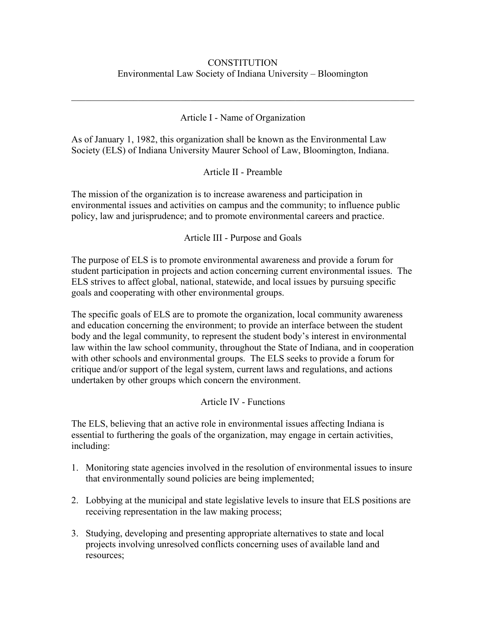### **CONSTITUTION** Environmental Law Society of Indiana University – Bloomington

#### Article I - Name of Organization

 $\mathcal{L}_\text{G}$  , and the contribution of the contribution of the contribution of the contribution of the contribution of the contribution of the contribution of the contribution of the contribution of the contribution of t

As of January 1, 1982, this organization shall be known as the Environmental Law Society (ELS) of Indiana University Maurer School of Law, Bloomington, Indiana.

Article II - Preamble

The mission of the organization is to increase awareness and participation in environmental issues and activities on campus and the community; to influence public policy, law and jurisprudence; and to promote environmental careers and practice.

Article III - Purpose and Goals

The purpose of ELS is to promote environmental awareness and provide a forum for student participation in projects and action concerning current environmental issues. The ELS strives to affect global, national, statewide, and local issues by pursuing specific goals and cooperating with other environmental groups.

The specific goals of ELS are to promote the organization, local community awareness and education concerning the environment; to provide an interface between the student body and the legal community, to represent the student body's interest in environmental law within the law school community, throughout the State of Indiana, and in cooperation with other schools and environmental groups. The ELS seeks to provide a forum for critique and/or support of the legal system, current laws and regulations, and actions undertaken by other groups which concern the environment.

#### Article IV - Functions

The ELS, believing that an active role in environmental issues affecting Indiana is essential to furthering the goals of the organization, may engage in certain activities, including:

- 1. Monitoring state agencies involved in the resolution of environmental issues to insure that environmentally sound policies are being implemented;
- 2. Lobbying at the municipal and state legislative levels to insure that ELS positions are receiving representation in the law making process;
- 3. Studying, developing and presenting appropriate alternatives to state and local projects involving unresolved conflicts concerning uses of available land and resources;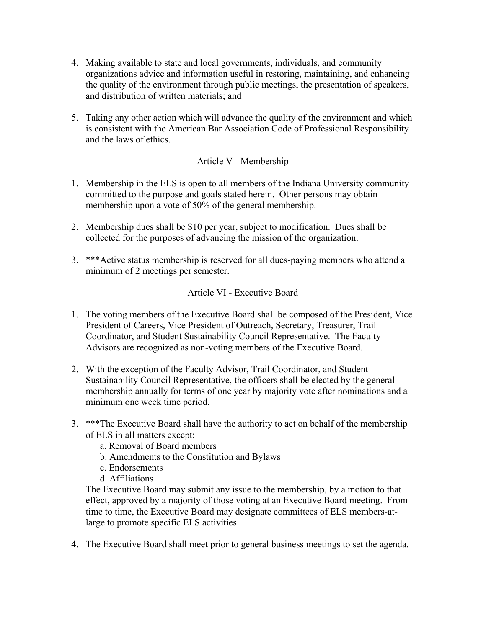- 4. Making available to state and local governments, individuals, and community organizations advice and information useful in restoring, maintaining, and enhancing the quality of the environment through public meetings, the presentation of speakers, and distribution of written materials; and
- 5. Taking any other action which will advance the quality of the environment and which is consistent with the American Bar Association Code of Professional Responsibility and the laws of ethics.

### Article V - Membership

- 1. Membership in the ELS is open to all members of the Indiana University community committed to the purpose and goals stated herein. Other persons may obtain membership upon a vote of 50% of the general membership.
- 2. Membership dues shall be \$10 per year, subject to modification. Dues shall be collected for the purposes of advancing the mission of the organization.
- 3. \*\*\*Active status membership is reserved for all dues-paying members who attend a minimum of 2 meetings per semester.

### Article VI - Executive Board

- 1. The voting members of the Executive Board shall be composed of the President, Vice President of Careers, Vice President of Outreach, Secretary, Treasurer, Trail Coordinator, and Student Sustainability Council Representative. The Faculty Advisors are recognized as non-voting members of the Executive Board.
- 2. With the exception of the Faculty Advisor, Trail Coordinator, and Student Sustainability Council Representative, the officers shall be elected by the general membership annually for terms of one year by majority vote after nominations and a minimum one week time period.
- 3. \*\*\*The Executive Board shall have the authority to act on behalf of the membership of ELS in all matters except:
	- a. Removal of Board members
	- b. Amendments to the Constitution and Bylaws
	- c. Endorsements
	- d. Affiliations

The Executive Board may submit any issue to the membership, by a motion to that effect, approved by a majority of those voting at an Executive Board meeting. From time to time, the Executive Board may designate committees of ELS members-atlarge to promote specific ELS activities.

4. The Executive Board shall meet prior to general business meetings to set the agenda.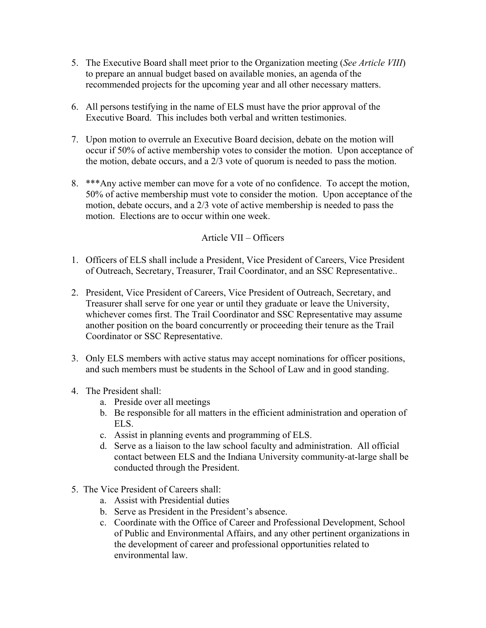- 5. The Executive Board shall meet prior to the Organization meeting (*See Article VIII*) to prepare an annual budget based on available monies, an agenda of the recommended projects for the upcoming year and all other necessary matters.
- 6. All persons testifying in the name of ELS must have the prior approval of the Executive Board. This includes both verbal and written testimonies.
- 7. Upon motion to overrule an Executive Board decision, debate on the motion will occur if 50% of active membership votes to consider the motion. Upon acceptance of the motion, debate occurs, and a 2/3 vote of quorum is needed to pass the motion.
- 8. \*\*\*Any active member can move for a vote of no confidence. To accept the motion, 50% of active membership must vote to consider the motion. Upon acceptance of the motion, debate occurs, and a 2/3 vote of active membership is needed to pass the motion. Elections are to occur within one week.

### Article VII – Officers

- 1. Officers of ELS shall include a President, Vice President of Careers, Vice President of Outreach, Secretary, Treasurer, Trail Coordinator, and an SSC Representative..
- 2. President, Vice President of Careers, Vice President of Outreach, Secretary, and Treasurer shall serve for one year or until they graduate or leave the University, whichever comes first. The Trail Coordinator and SSC Representative may assume another position on the board concurrently or proceeding their tenure as the Trail Coordinator or SSC Representative.
- 3. Only ELS members with active status may accept nominations for officer positions, and such members must be students in the School of Law and in good standing.
- 4. The President shall:
	- a. Preside over all meetings
	- b. Be responsible for all matters in the efficient administration and operation of ELS.
	- c. Assist in planning events and programming of ELS.
	- d. Serve as a liaison to the law school faculty and administration. All official contact between ELS and the Indiana University community-at-large shall be conducted through the President.
- 5. The Vice President of Careers shall:
	- a. Assist with Presidential duties
	- b. Serve as President in the President's absence.
	- c. Coordinate with the Office of Career and Professional Development, School of Public and Environmental Affairs, and any other pertinent organizations in the development of career and professional opportunities related to environmental law.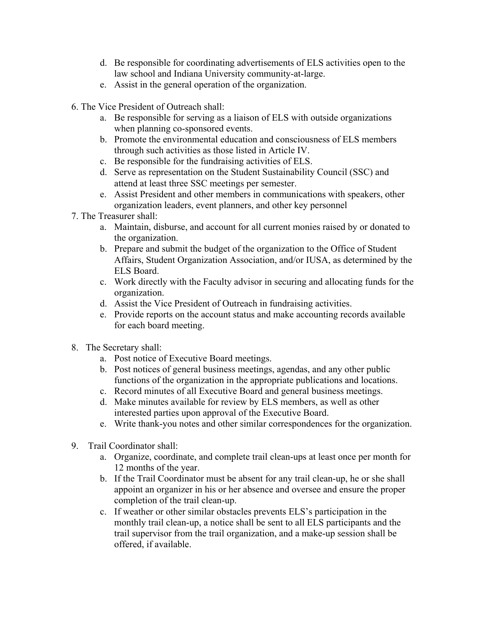- d. Be responsible for coordinating advertisements of ELS activities open to the law school and Indiana University community-at-large.
- e. Assist in the general operation of the organization.
- 6. The Vice President of Outreach shall:
	- a. Be responsible for serving as a liaison of ELS with outside organizations when planning co-sponsored events.
	- b. Promote the environmental education and consciousness of ELS members through such activities as those listed in Article IV.
	- c. Be responsible for the fundraising activities of ELS.
	- d. Serve as representation on the Student Sustainability Council (SSC) and attend at least three SSC meetings per semester.
	- e. Assist President and other members in communications with speakers, other organization leaders, event planners, and other key personnel
- 7. The Treasurer shall:
	- a. Maintain, disburse, and account for all current monies raised by or donated to the organization.
	- b. Prepare and submit the budget of the organization to the Office of Student Affairs, Student Organization Association, and/or IUSA, as determined by the ELS Board.
	- c. Work directly with the Faculty advisor in securing and allocating funds for the organization.
	- d. Assist the Vice President of Outreach in fundraising activities.
	- e. Provide reports on the account status and make accounting records available for each board meeting.
- 8. The Secretary shall:
	- a. Post notice of Executive Board meetings.
	- b. Post notices of general business meetings, agendas, and any other public functions of the organization in the appropriate publications and locations.
	- c. Record minutes of all Executive Board and general business meetings.
	- d. Make minutes available for review by ELS members, as well as other interested parties upon approval of the Executive Board.
	- e. Write thank-you notes and other similar correspondences for the organization.
- 9. Trail Coordinator shall:
	- a. Organize, coordinate, and complete trail clean-ups at least once per month for 12 months of the year.
	- b. If the Trail Coordinator must be absent for any trail clean-up, he or she shall appoint an organizer in his or her absence and oversee and ensure the proper completion of the trail clean-up.
	- c. If weather or other similar obstacles prevents ELS's participation in the monthly trail clean-up, a notice shall be sent to all ELS participants and the trail supervisor from the trail organization, and a make-up session shall be offered, if available.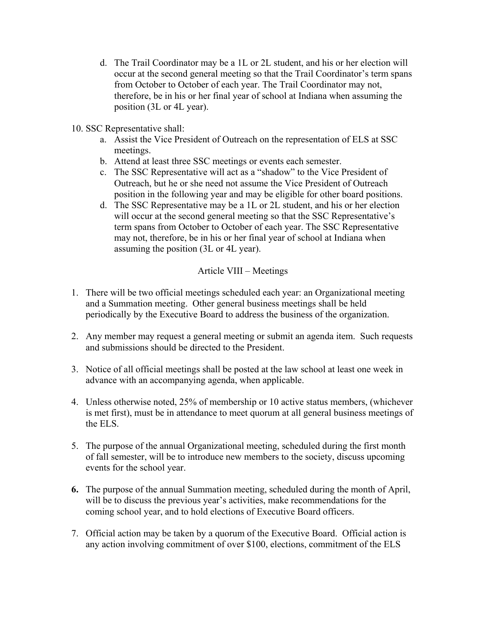- d. The Trail Coordinator may be a 1L or 2L student, and his or her election will occur at the second general meeting so that the Trail Coordinator's term spans from October to October of each year. The Trail Coordinator may not, therefore, be in his or her final year of school at Indiana when assuming the position (3L or 4L year).
- 10. SSC Representative shall:
	- a. Assist the Vice President of Outreach on the representation of ELS at SSC meetings.
	- b. Attend at least three SSC meetings or events each semester.
	- c. The SSC Representative will act as a "shadow" to the Vice President of Outreach, but he or she need not assume the Vice President of Outreach position in the following year and may be eligible for other board positions.
	- d. The SSC Representative may be a 1L or 2L student, and his or her election will occur at the second general meeting so that the SSC Representative's term spans from October to October of each year. The SSC Representative may not, therefore, be in his or her final year of school at Indiana when assuming the position (3L or 4L year).

## Article VIII – Meetings

- 1. There will be two official meetings scheduled each year: an Organizational meeting and a Summation meeting. Other general business meetings shall be held periodically by the Executive Board to address the business of the organization.
- 2. Any member may request a general meeting or submit an agenda item. Such requests and submissions should be directed to the President.
- 3. Notice of all official meetings shall be posted at the law school at least one week in advance with an accompanying agenda, when applicable.
- 4. Unless otherwise noted, 25% of membership or 10 active status members, (whichever is met first), must be in attendance to meet quorum at all general business meetings of the ELS.
- 5. The purpose of the annual Organizational meeting, scheduled during the first month of fall semester, will be to introduce new members to the society, discuss upcoming events for the school year.
- **6.** The purpose of the annual Summation meeting, scheduled during the month of April, will be to discuss the previous year's activities, make recommendations for the coming school year, and to hold elections of Executive Board officers.
- 7. Official action may be taken by a quorum of the Executive Board. Official action is any action involving commitment of over \$100, elections, commitment of the ELS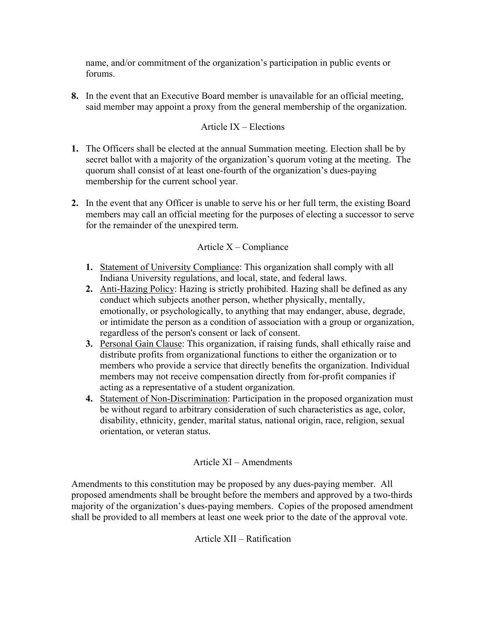name, and/or commitment of the organization's participation in public events or forums.

**8.** In the event that an Executive Board member is unavailable for an official meeting, said member may appoint a proxy from the general membership of the organization.

## Article IX – Elections

- **1.** The Officers shall be elected at the annual Summation meeting. Election shall be by secret ballot with a majority of the organization's quorum voting at the meeting. The quorum shall consist of at least one-fourth of the organization's dues-paying membership for the current school year.
- **2.** In the event that any Officer is unable to serve his or her full term, the existing Board members may call an official meeting for the purposes of electing a successor to serve for the remainder of the unexpired term.

# Article X – Compliance

- **1.** Statement of University Compliance: This organization shall comply with all Indiana University regulations, and local, state, and federal laws.
- **2.** Anti-Hazing Policy: Hazing is strictly prohibited. Hazing shall be defined as any conduct which subjects another person, whether physically, mentally, emotionally, or psychologically, to anything that may endanger, abuse, degrade, or intimidate the person as a condition of association with a group or organization, regardless of the person's consent or lack of consent.
- **3.** Personal Gain Clause: This organization, if raising funds, shall ethically raise and distribute profits from organizational functions to either the organization or to members who provide a service that directly benefits the organization. Individual members may not receive compensation directly from for-profit companies if acting as a representative of a student organization.
- **4.** Statement of Non-Discrimination: Participation in the proposed organization must be without regard to arbitrary consideration of such characteristics as age, color, disability, ethnicity, gender, marital status, national origin, race, religion, sexual orientation, or veteran status.

## Article XI – Amendments

Amendments to this constitution may be proposed by any dues-paying member. All proposed amendments shall be brought before the members and approved by a two-thirds majority of the organization's dues-paying members. Copies of the proposed amendment shall be provided to all members at least one week prior to the date of the approval vote.

Article XII – Ratification